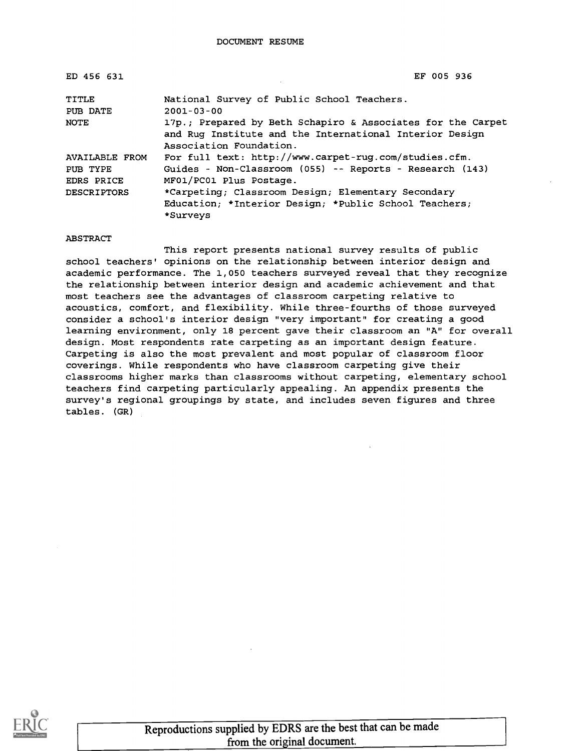| ED 456 631            | EF 005 936                                                                                                             |
|-----------------------|------------------------------------------------------------------------------------------------------------------------|
| TITLE                 | National Survey of Public School Teachers.<br>$2001 - 03 - 00$                                                         |
| PUB DATE              |                                                                                                                        |
| NOTE                  | 17p.; Prepared by Beth Schapiro & Associates for the Carpet<br>and Rug Institute and the International Interior Design |
|                       | Association Foundation.                                                                                                |
| <b>AVAILABLE FROM</b> | For full text: http://www.carpet-rug.com/studies.cfm.                                                                  |
| PUB TYPE              | Guides - Non-Classroom (055) -- Reports - Research (143)                                                               |
| EDRS PRICE            | MF01/PC01 Plus Postage.                                                                                                |
| <b>DESCRIPTORS</b>    | *Carpeting; Classroom Design; Elementary Secondary                                                                     |
|                       | Education; *Interior Design; *Public School Teachers;                                                                  |
|                       | *Surveys                                                                                                               |

#### ABSTRACT

This report presents national survey results of public school teachers' opinions on the relationship between interior design and academic performance. The 1,050 teachers surveyed reveal that they recognize the relationship between interior design and academic achievement and that most teachers see the advantages of classroom carpeting relative to acoustics, comfort, and flexibility. While three-fourths of those surveyed consider a school's interior design "very important" for creating a good learning environment, only 18 percent gave their classroom an "A" for overall design. Most respondents rate carpeting as an important design feature. Carpeting is also the most prevalent and most popular of classroom floor coverings. While respondents who have classroom carpeting give their classrooms higher marks than classrooms without carpeting, elementary school teachers find carpeting particularly appealing. An appendix presents the survey's regional groupings by state, and includes seven figures and three tables. (GR)

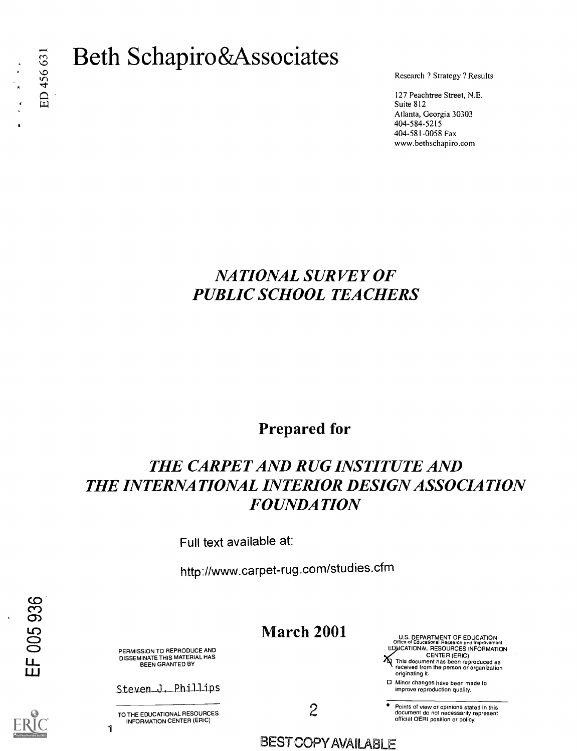# E) Beth Schapiro&Associates

Research ? Strategy ? Results

127 Peachtree Street, N.E. Suite 812 Atlanta, Georgia 30303 404-584-5215 404-581-0058 Fax www.bethschapiro.com

#### NATIONAL SURVEY OF PUBLIC SCHOOL TEACHERS

#### Prepared for

#### THE CARPET AND RUG INSTITUTE AND THE INTERNATIONAL INTERIOR DESIGN ASSOCIATION FOUNDATION

Full text available at:

http://www.carpet-rug.com/studies.cfm

#### March 2001

PERMISSION TO REPRODUCE AND DISSEMINATE THIS MATERIAL HAS BEEN GRANTED BY

Steven J. Phillips

TO THE EDUCATIONAL RESOURCES INFORMATION CENTER (ERIC)

1

2

U.S. DEPARTMENT OF EDUCATION Office of Educational Research and Improvement EDUCATIONAL RESOURCES INFORMATION

CENTER (ERIC) This document has been reproduced as received from the person or organization originating it.

0 Minor changes have been made to improve reproduction quality.

Points of view or opinions stated in this document do not necessarily represent official OERI position or policy.

BEST COPY AVALABLE

EF 005 936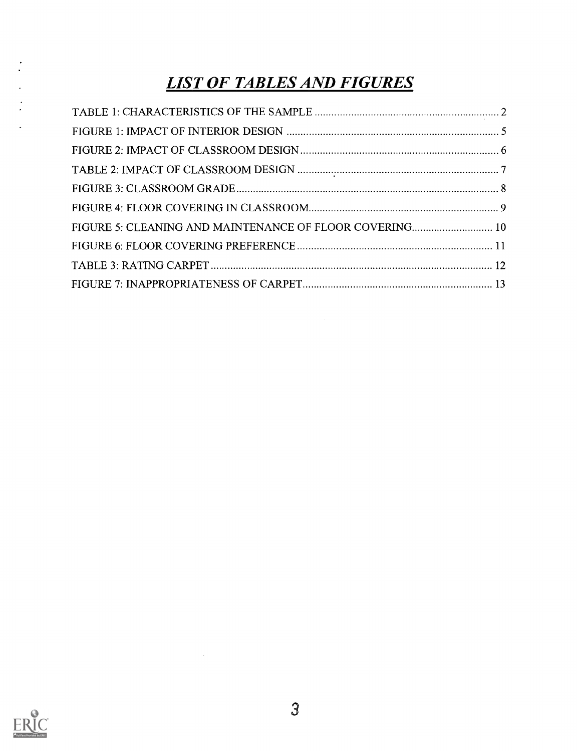## LIST OF TABLES AND FIGURES

| FIGURE 5: CLEANING AND MAINTENANCE OF FLOOR COVERING 10 |  |
|---------------------------------------------------------|--|
|                                                         |  |
|                                                         |  |
|                                                         |  |



 $\mathcal{L}^{\text{max}}_{\text{max}}$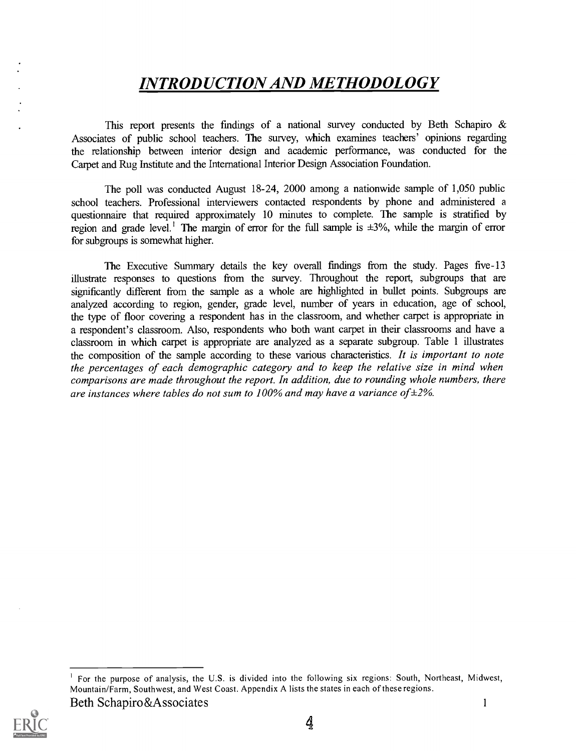#### INTRODUCTION AND METHODOLOGY

This report presents the findings of a national survey conducted by Beth Schapiro  $\&$ Associates of public school teachers. The survey, which examines teachers' opinions regarding the relationship between interior design and academic performance, was conducted for the Carpet and Rug Institute and the International Interior Design Association Foundation.

The poll was conducted August 18-24, 2000 among a nationwide sample of 1,050 public school teachers. Professional interviewers contacted respondents by phone and administered a questionnaire that required approximately 10 minutes to complete. The sample is stratified by region and grade level.<sup>1</sup> The margin of error for the full sample is  $\pm 3\%$ , while the margin of error for subgroups is somewhat higher.

The Executive Summary details the key overall findings from the study. Pages five-13 illustrate responses to questions from the survey. Throughout the report, subgroups that are significantly different from the sample as a whole are highlighted in bullet points. Subgroups are analyzed according to region, gender, grade level, number of years in education, age of school, the type of floor covering a respondent has in the classroom, and whether carpet is appropriate in a respondent's classroom. Also, respondents who both want carpet in their classrooms and have a classroom in which carpet is appropriate are analyzed as a separate subgroup. Table 1 illustrates the composition of the sample according to these various characteristics. It is important to note the percentages of each demographic category and to keep the relative size in mind when comparisons are made throughout the report. In addition, due to rounding whole numbers, there are instances where tables do not sum to 100% and may have a variance of  $\pm$ 2%.

For the purpose of analysis, the U.S. is divided into the following six regions: South, Northeast, Midwest, Mountain/Farm, Southwest, and West Coast. Appendix A lists the states in each of these regions. Beth Schapiro&Associates

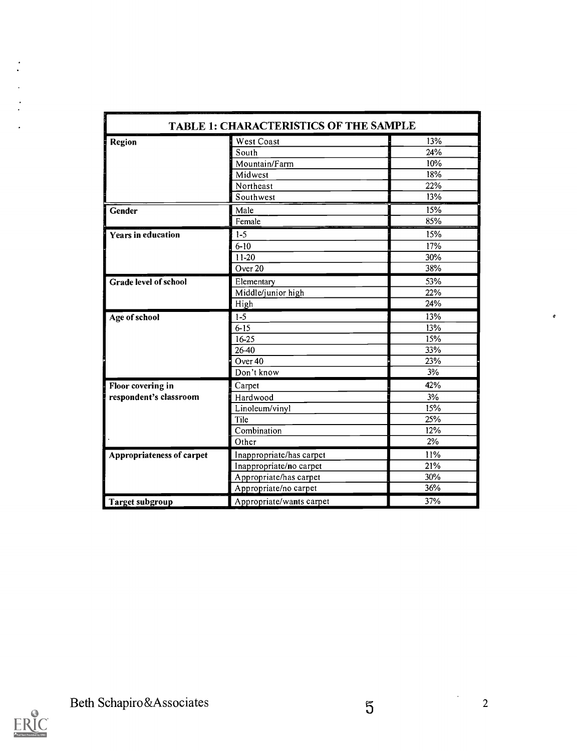| <b>TABLE 1: CHARACTERISTICS OF THE SAMPLE</b> |                          |     |  |
|-----------------------------------------------|--------------------------|-----|--|
| <b>Region</b>                                 | West Coast               | 13% |  |
|                                               | South                    | 24% |  |
|                                               | Mountain/Farm            | 10% |  |
|                                               | Midwest                  | 18% |  |
|                                               | Northeast                | 22% |  |
|                                               | Southwest                | 13% |  |
| <b>Gender</b>                                 | Male                     | 15% |  |
|                                               | Female                   | 85% |  |
| <b>Years in education</b>                     | $1-5$                    | 15% |  |
|                                               | $6 - 10$                 | 17% |  |
|                                               | $11 - 20$                | 30% |  |
|                                               | Over <sub>20</sub>       | 38% |  |
| <b>Grade level of school</b>                  | Elementary               | 53% |  |
|                                               | Middle/junior high       | 22% |  |
|                                               | High                     | 24% |  |
| Age of school                                 | $1 - 5$                  | 13% |  |
|                                               | $6 - 15$                 | 13% |  |
|                                               | 16-25                    | 15% |  |
|                                               | 26-40                    | 33% |  |
|                                               | Over <sub>40</sub>       | 23% |  |
|                                               | Don't know               | 3%  |  |
| Floor covering in                             | Carpet                   | 42% |  |
| respondent's classroom                        | Hardwood                 | 3%  |  |
|                                               | Linoleum/vinyl           | 15% |  |
|                                               | Tile                     | 25% |  |
|                                               | Combination              | 12% |  |
|                                               | Other                    | 2%  |  |
| <b>Appropriateness of carpet</b>              | Inappropriate/has carpet | 11% |  |
|                                               | Inappropriate/no carpet  | 21% |  |
|                                               | Appropriate/has carpet   | 30% |  |
|                                               | Appropriate/no carpet    | 36% |  |
|                                               |                          |     |  |



 $\mathcal{O}$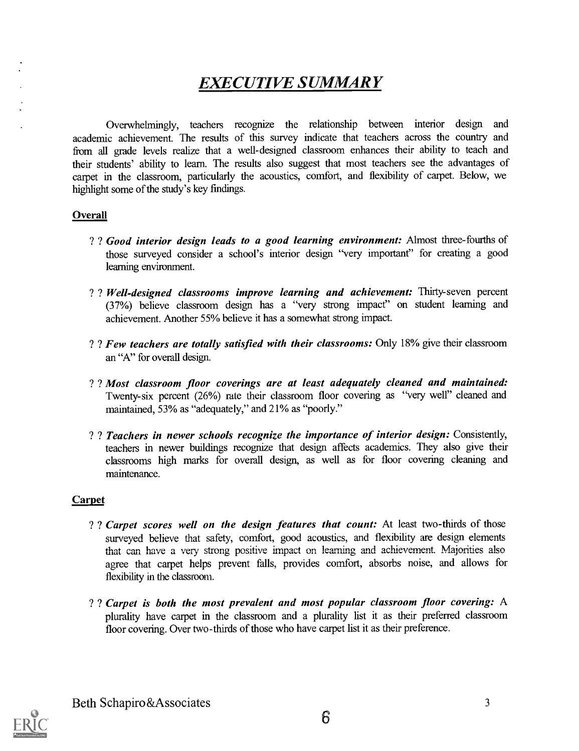#### EXECUTIVE SUMMARY

Overwhelmingly, teachers recognize the relationship between interior design and academic achievement. The results of this survey indicate that teachers across the country and from all grade levels realize that a well-designed classroom enhances their ability to teach and their students' ability to learn. The results also suggest that most teachers see the advantages of carpet in the classroom, particularly the acoustics, comfort, and flexibility of carpet. Below, we highlight some of the study's key findings.

#### **Overall**

- ? ? Good interior design leads to a good learning environment: Almost three-fourths of those surveyed consider a school's interior design "very important" for creating a good learning environment.
- ? ? Well-designed classrooms improve learning and achievement: Thirty-seven percent (37%) believe classroom design has a "very strong impact" on student learning and achievement. Another 55% believe it has a somewhat strong impact.
- ? ? Few teachers are totally satisfied with their classrooms: Only 18% give their classroom an "A" for overall design.
- ? ? Most classroom floor coverings are at least adequately cleaned and maintained: Twenty-six percent (26%) rate their classroom floor covering as "very well" cleaned and maintained, 53% as "adequately," and 21% as "poorly."
- ? ? Teachers in newer schools recognize the importance of interior design: Consistently, teachers in newer buildings recognize that design affects academics. They also give their classrooms high marks for overall design, as well as for floor covering cleaning and maintenance.

#### **Carpet**

- ? ? Carpet scores well on the design features that count: At least two-thirds of those surveyed believe that safety, comfort, good acoustics, and flexibility are design elements that can have a very strong positive impact on learning and achievement. Majorities also agree that carpet helps prevent falls, provides comfort, absorbs noise, and allows for flexibility in the classroom.
- ? ? Carpet is both the most prevalent and most popular classroom floor covering: A plurality have carpet in the classroom and a plurality list it as their preferred classroom floor covering. Over two-thirds of those who have carpet list it as their preference.

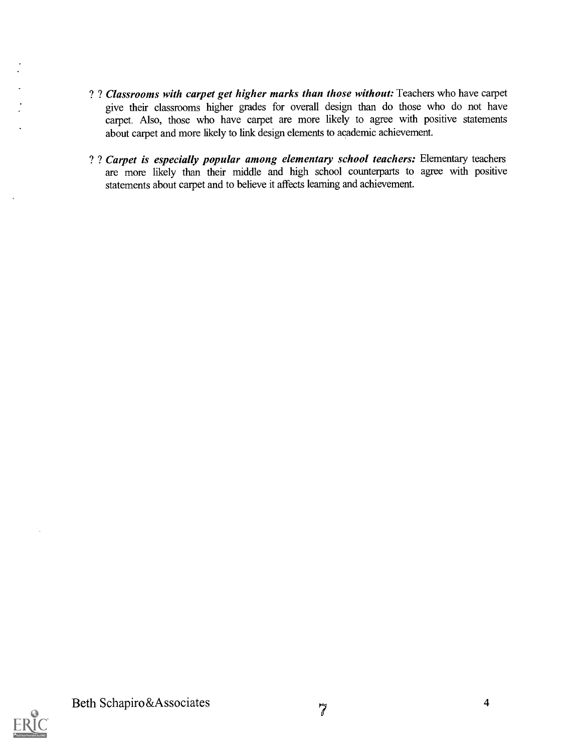- ? ? Classrooms with carpet get higher marks than those without: Teachers who have carpet give their classrooms higher grades for overall design than do those who do not have carpet. Also, those who have carpet are more likely to agree with positive statements about carpet and more likely to link design elements to academic achievement.
- ? ? Carpet is especially popular among elementary school teachers: Elementary teachers are more likely than their middle and high school counterparts to agree with positive statements about carpet and to believe it affects learning and achievement.

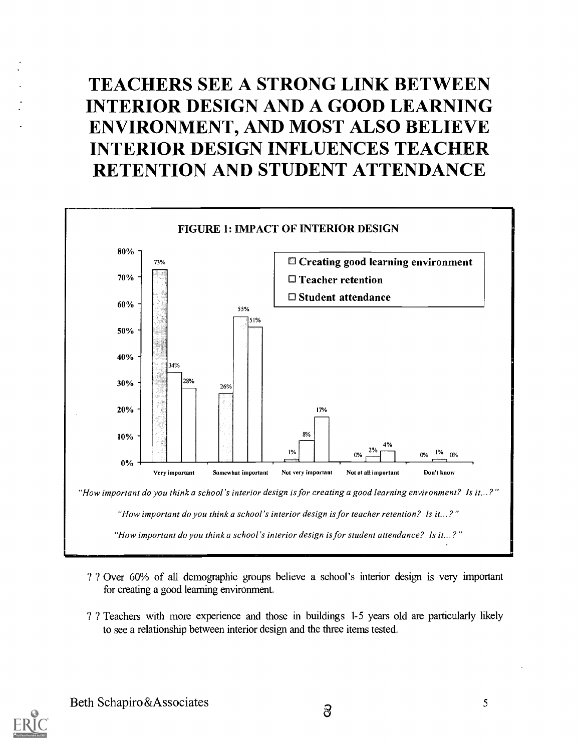# TEACHERS SEE A STRONG LINK BETWEEN INTERIOR DESIGN AND A GOOD LEARNING ENVIRONMENT, AND MOST ALSO BELIEVE INTERIOR DESIGN INFLUENCES TEACHER RETENTION AND STUDENT ATTENDANCE



- ? ? Over 60% of all demographic groups believe a school's interior design is very important for creating a good learning environment.
- ? ? Teachers with more experience and those in buildings 1-5 years old are particularly likely to see a relationship between interior design and the three items tested.

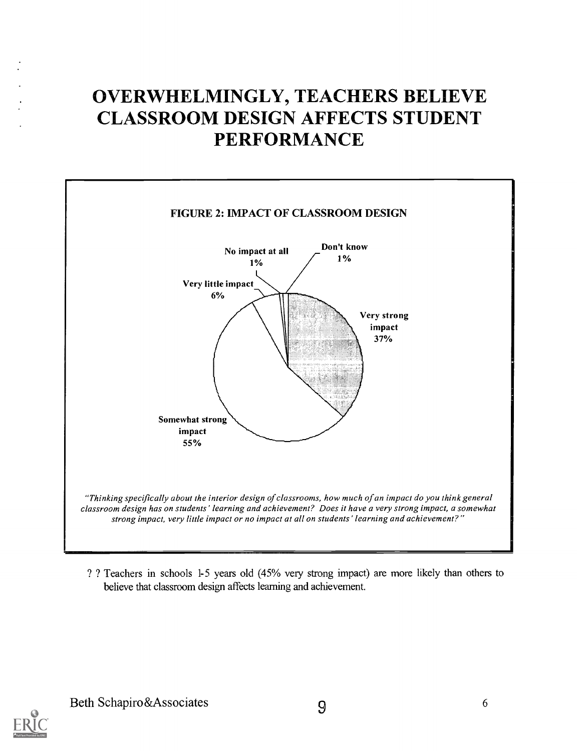# OVERWHELMINGLY, TEACHERS BELIEVE CLASSROOM DESIGN AFFECTS STUDENT PERFORMANCE



? ? Teachers in schools 1-5 years old (45% very strong impact) are more likely than others to believe that classroom design affects learning and achievement.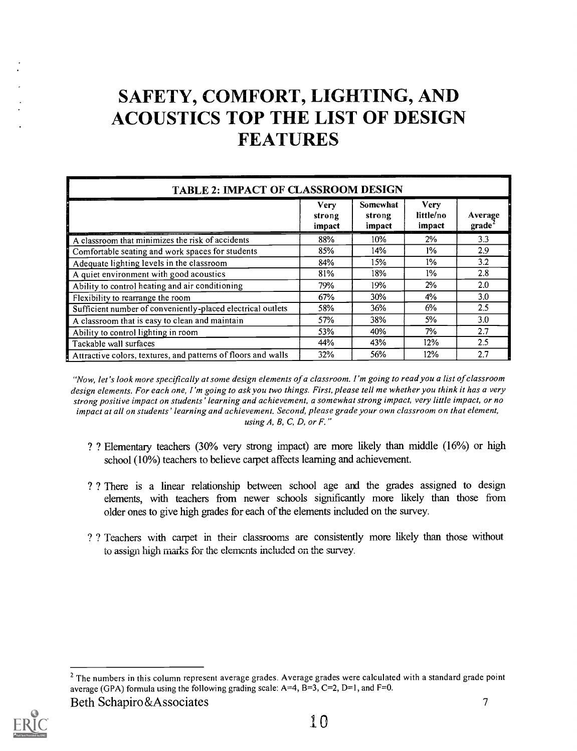# SAFETY, COMFORT, LIGHTING, AND ACOUSTICS TOP THE LIST OF DESIGN FEATURES

| <b>TABLE 2: IMPACT OF CLASSROOM DESIGN</b>                    |                          |                              |                                    |                               |  |
|---------------------------------------------------------------|--------------------------|------------------------------|------------------------------------|-------------------------------|--|
|                                                               | Verv<br>strong<br>impact | Somewhat<br>strong<br>impact | <b>Very</b><br>little/no<br>impact | Average<br>grade <sup>2</sup> |  |
| A classroom that minimizes the risk of accidents              | 88%                      | $10\%$                       | $2\%$                              | 3.3                           |  |
| Comfortable seating and work spaces for students              | 85%                      | 14%                          | 1%                                 | 2.9                           |  |
| Adequate lighting levels in the classroom                     | 84%                      | 15%                          | 1%                                 | 3.2                           |  |
| A quiet environment with good acoustics                       | 81%                      | 18%                          | $1\%$                              | 2.8                           |  |
| Ability to control heating and air conditioning               | 79%                      | 19%                          | 2%                                 | 2.0                           |  |
| Flexibility to rearrange the room                             | 67%                      | 30%                          | $4\%$                              | 3.0                           |  |
| Sufficient number of conveniently-placed electrical outlets   | 58%                      | 36%                          | 6%                                 | $2.5\,$                       |  |
| A classroom that is easy to clean and maintain                | 57%                      | 38%                          | 5%                                 | 3.0                           |  |
| Ability to control lighting in room                           | 53%                      | 40%                          | 7%                                 | 2.7                           |  |
| Tackable wall surfaces                                        | 44%                      | 43%                          | 12%                                | 2.5                           |  |
| Attractive colors, textures, and patterns of floors and walls | 32%                      | 56%                          | 12%                                | 2.7                           |  |

"Now, let's look more specifically at some design elements of a classroom. I'm going to read you a list of classroom design elements. For each one, I'm going to ask you two things. First, please tell me whether you think it has a very strong positive impact on students' learning and achievement, a somewhat strong impact, very little impact, or no impact at all on students' learning and achievement. Second, please grade your own classroom on that element, using  $A$ ,  $B$ ,  $C$ ,  $D$ , or  $F$ ."

- ? ? Elementary teachers (30% very strong impact) are more likely than middle (16%) or high school (10%) teachers to believe carpet affects learning and achievement.
- ? ? There is a linear relationship between school age and the grades assigned to design elements, with teachers from newer schools significantly more likely than those from older ones to give high grades for each of the elements included on the survey.
- ? ? Teachers with carpet in their classrooms are consistently more likely than those without to assign high marks for the elements included on the survey.

Beth Schapiro&Associates 7



<sup>&</sup>lt;sup>2</sup> The numbers in this column represent average grades. Average grades were calculated with a standard grade point average (GPA) formula using the following grading scale:  $A=4$ ,  $B=3$ ,  $C=2$ ,  $D=1$ , and  $F=0$ .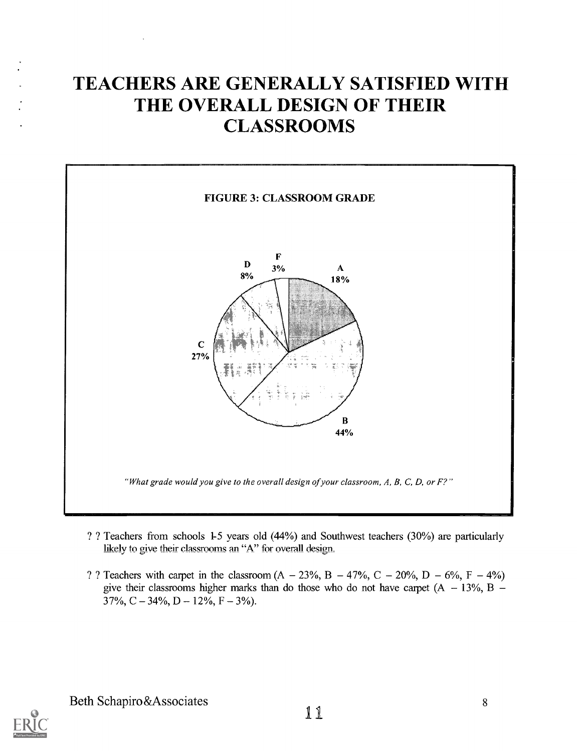#### TEACHERS ARE GENERALLY SATISFIED WITH THE OVERALL DESIGN OF THEIR **CLASSROOMS**



- ? ? Teachers from schools 1-5 years old (44%) and Southwest teachers (30%) are particularly likely to give their classrooms an "A" for overall design.
- ? ? Teachers with carpet in the classroom  $(A 23\%, B 47\%, C 20\%, D 6\%, F 4\%)$ give their classrooms higher marks than do those who do not have carpet  $(A - 13\%, B 37\%, C - 34\%, D - 12\%, F - 3\%$ .

Beth Schapiro&Associates 11

8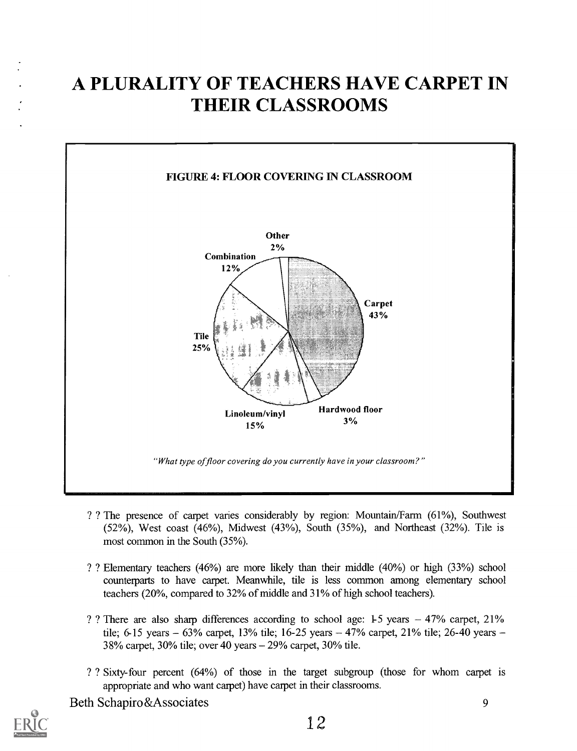# A PLURALITY OF TEACHERS HAVE CARPET IN THEIR CLASSROOMS



- ? ? The presence of carpet varies considerably by region: Mountain/Farm (61%), Southwest  $(52%)$ , West coast  $(46%)$ , Midwest  $(43%)$ , South  $(35%)$ , and Northeast  $(32%)$ . Tile is most common in the South (35%).
- ? ? Elementary teachers (46%) are more likely than their middle (40%) or high (33%) school counterparts to have carpet. Meanwhile, tile is less common among elementary school teachers (20%, compared to 32% of middle and 31% of high school teachers).
- ? There are also sharp differences according to school age:  $1-5$  years  $-47\%$  carpet,  $21\%$ tile; 6-15 years  $-63\%$  carpet, 13% tile; 16-25 years  $-47\%$  carpet, 21% tile; 26-40 years  $-$ 38% carpet, 30% tile; over 40 years 29% carpet, 30% tile.
- ? ? Sixty- four percent (64%) of those in the target subgroup (those for whom carpet is appropriate and who want carpet) have carpet in their classrooms.

Beth Schapiro&Associates 9

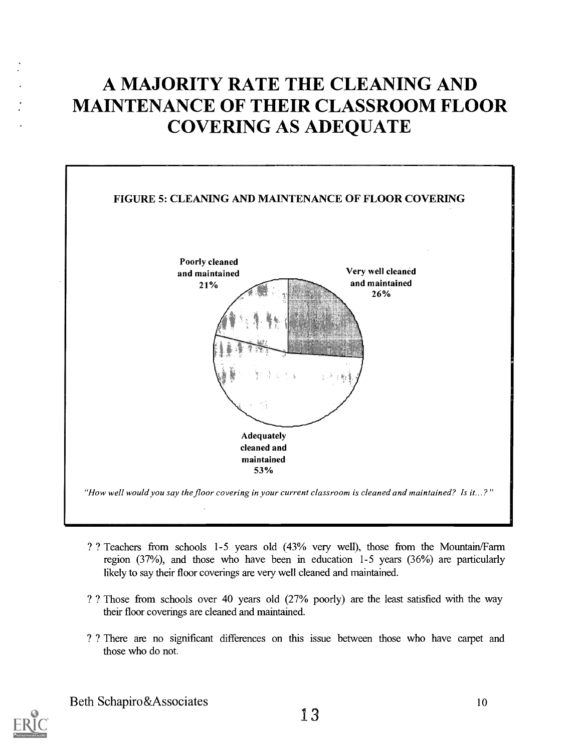# A MAJORITY RATE THE CLEANING AND MAINTENANCE OF THEIR CLASSROOM FLOOR COVERING AS ADEQUATE



- ? ? Teachers from schools 1-5 years old (43% very well), those from the Mountain/Farm region (37%), and those who have been in education 1-5 years (36%) are particularly likely to say their floor coverings are very well cleaned and maintained.
- ? ? Those from schools over 40 years old (27% poorly) are the least satisfied with the way their floor coverings are cleaned and maintained.
- ? ? There are no significant differences on this issue between those who have carpet and those who do not.



10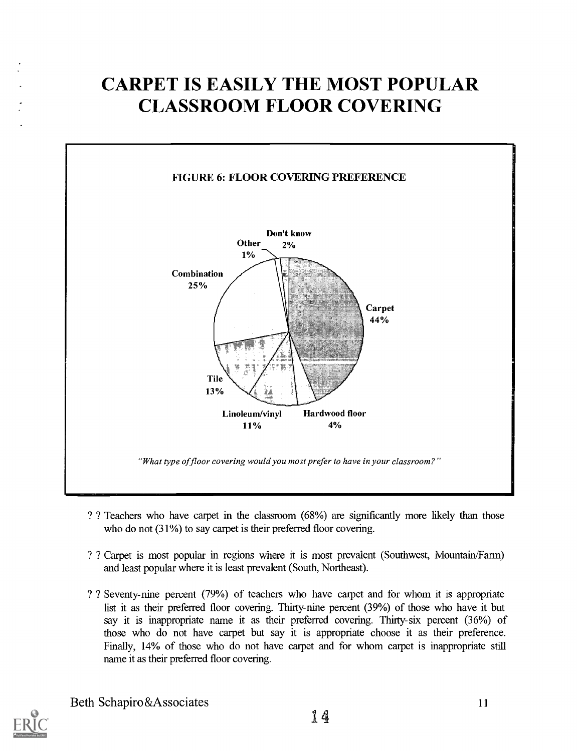# CARPET IS EASILY THE MOST POPULAR CLASSROOM FLOOR COVERING



- ? ? Teachers who have carpet in the classroom (68%) are significantly more likely than those who do not  $(31\%)$  to say carpet is their preferred floor covering.
- ? ? Carpet is most popular in regions where it is most prevalent (Southwest, Mountain/Farm) and least popular where it is least prevalent (South, Northeast).
- ? ? Seventy-nine percent (79%) of teachers who have carpet and for whom it is appropriate list it as their preferred floor covering. Thirty-nine percent (39%) of those who have it but say it is inappropriate name it as their preferred covering. Thirty-six percent (36%) of those who do not have carpet but say it is appropriate choose it as their preference. Finally, 14% of those who do not have carpet and for whom carpet is inappropriate still name it as their preferred floor covering.



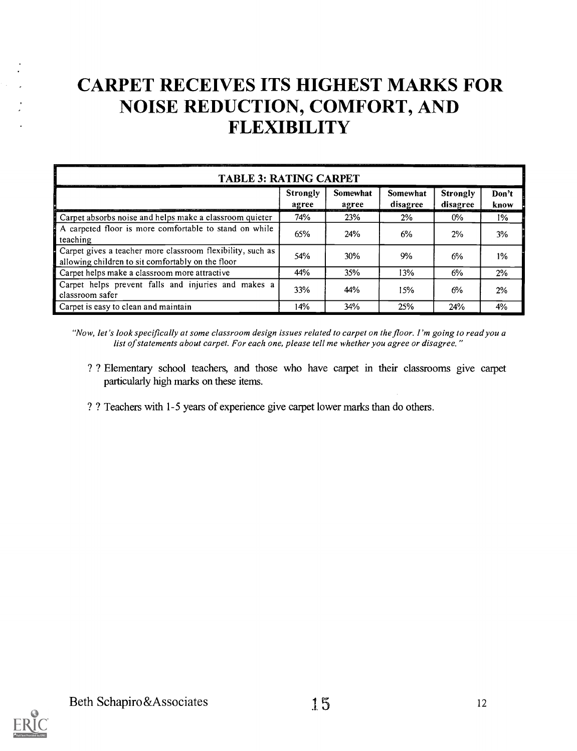# CARPET RECEIVES ITS HIGHEST MARKS FOR NOISE REDUCTION, COMFORT, AND FLEXIBILITY

| <b>TABLE 3: RATING CARPET</b>                                                                                   |                          |                   |                             |                             |               |
|-----------------------------------------------------------------------------------------------------------------|--------------------------|-------------------|-----------------------------|-----------------------------|---------------|
|                                                                                                                 | <b>Strongly</b><br>agree | Somewhat<br>agree | <b>Somewhat</b><br>disagree | <b>Strongly</b><br>disagree | Don't<br>know |
| Carpet absorbs noise and helps make a classroom quieter                                                         | 74%                      | 23%               | 2%                          | $0\%$                       | $1\%$         |
| A carpeted floor is more comfortable to stand on while<br>teaching                                              | 65%                      | 24%               | 6%                          | 2%                          | 3%            |
| Carpet gives a teacher more classroom flexibility, such as<br>allowing children to sit comfortably on the floor | 54%                      | 30%               | 9%                          | 6%                          | $1\%$         |
| Carpet helps make a classroom more attractive                                                                   | 44%                      | 35%               | 13%                         | 6%                          | 2%            |
| Carpet helps prevent falls and injuries and makes a<br>classroom safer                                          | 33%                      | 44%               | 15%                         | 6%                          | 2%            |
| Carpet is easy to clean and maintain                                                                            | 14%                      | 34%               | 25%                         | 24%                         | 4%            |

"Now, let's look specifically at some classroom design issues related to carpet on the floor. I 'm going to read you a list of statements about carpet. For each one, please tell me whether you agree or disagree."

- ? ? Elementary school teachers, and those who have carpet in their classrooms give carpet particularly high marks on these items.
- ? ? Teachers with 1-5 years of experience give carpet lower marks than do others.

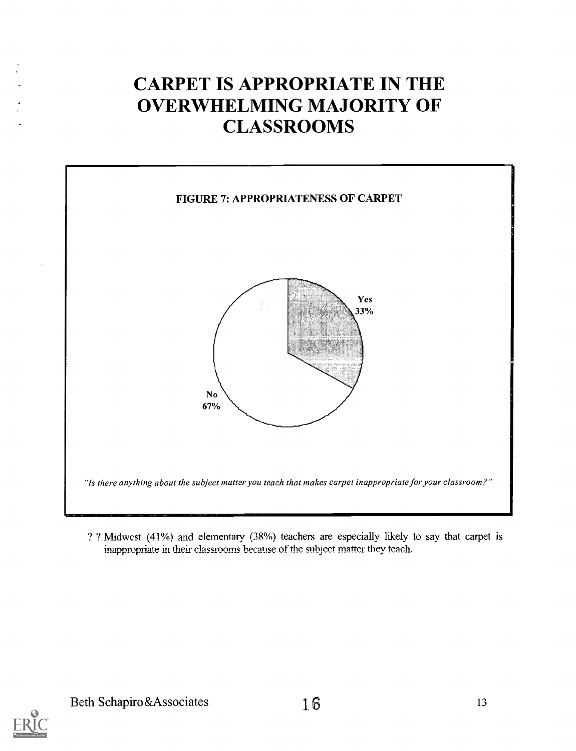# CARPET IS APPROPRIATE IN THE OVERWHELMING MAJORITY OF **CLASSROOMS**



? ? Midwest (41%) and elementary (38%) teachers are especially likely to say that carpet is inappropriate in their classrooms because of the subject matter they teach.

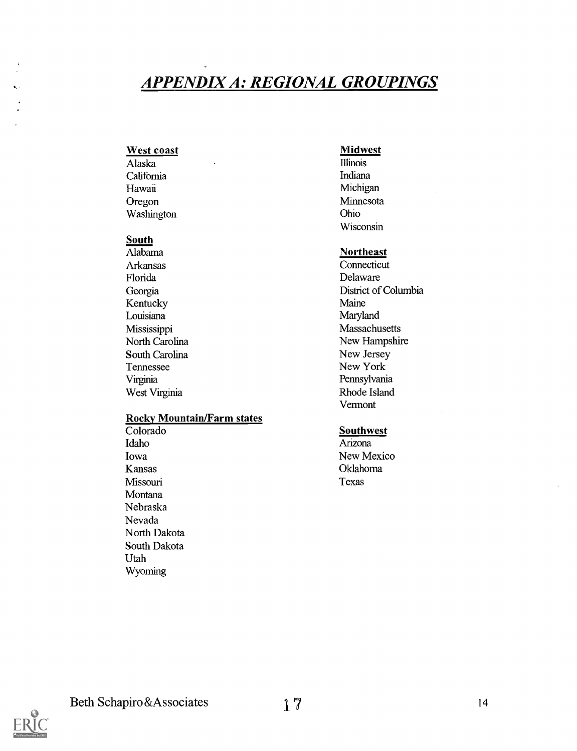#### APPENDIX A: REGIONAL GROUPINGS

# West coast<br>
Alaska<br>
Midwest<br>
Millinois

California Indiana Hawaii Michigan Oregon Minnesota<br>Washington Ohio Washington

# South<br>Alabama

Alabama **Northeast**<br>Arkansas Connecticut Arkansas Connecticut<br>Florida Delaware Kentucky Maine<br>
Louisiana Maryland<br>
Maryland Louisiana Mississippi Massachusetts South Carolina<br>Tennessee Virginia Pennsylvania West Virginia Rhode Island

# **Rocky Mountain/Farm states**<br>Colorado

Colorado Southwest<br>Idaho Arizona Idaho Arizona Iowa New Mexico Kansas Oklahoma Missouri Texas **Montana** Nebraska Nevada North Dakota South Dakota Utah Wyoming

Alaska Illinois Wisconsin

Delaware Georgia District of Columbia<br>Kentucky Maine Maine North Carolina New Hampshire<br>
South Carolina New Jersey New York Vermont

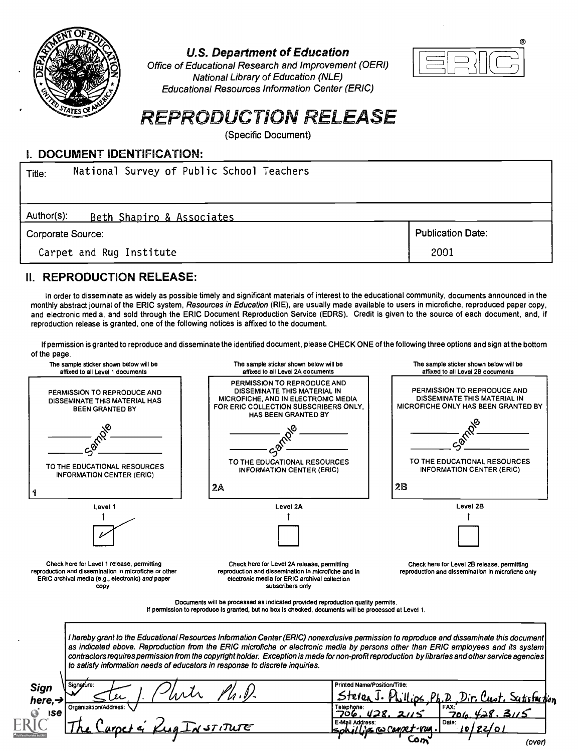

U.S. Department of Education

Office of Educational Research and Improvement (OERI) National Library of Education (NLE) Educational Resources Information Center (ERIC)



#### REPRODUCTION RELEASE

(Specific Document)

#### L DOCUMENT IDENTIFICATION:

| National Survey of Public School Teachers<br>Title: |                          |
|-----------------------------------------------------|--------------------------|
| Author(s):<br>Beth Shapiro & Associates             |                          |
| Corporate Source:                                   | <b>Publication Date:</b> |
| Carpet and Rug Institute                            | 2001                     |

#### II. REPRODUCTION RELEASE:

In order to disseminate as widely as possible timely and significant materials of interest to the educational community, documents announced in the monthly abstract journal of the ERIC system, Resources in Education (RIE), are usually made available to users in microfiche, reproduced paper copy, and electronic media, and sold through the ERIC Document Reproduction Service (EDRS). Credit is given to the source of each document, and, if reproduction release is granted, one of the following notices is affixed to the document.

If permission is granted to reproduce and disseminate the identified document, please CHECK ONE of the following three options and sign at the bottom of the page.

| affixed to all Level 1 documents                                                                    | The sample sticker shown below will be<br>affixed to all Level 2A documents                                                                                                                                                                                                                                                                                                                                                       | The sample sticker shown below will be<br>affixed to all Level 2B documents                               |
|-----------------------------------------------------------------------------------------------------|-----------------------------------------------------------------------------------------------------------------------------------------------------------------------------------------------------------------------------------------------------------------------------------------------------------------------------------------------------------------------------------------------------------------------------------|-----------------------------------------------------------------------------------------------------------|
| PERMISSION TO REPRODUCE AND<br>DISSEMINATE THIS MATERIAL HAS<br><b>BEEN GRANTED BY</b>              | PERMISSION TO REPRODUCE AND<br>DISSEMINATE THIS MATERIAL IN<br>MICROFICHE, AND IN ELECTRONIC MEDIA<br>FOR ERIC COLLECTION SUBSCRIBERS ONLY.<br><b>HAS BEEN GRANTED BY</b>                                                                                                                                                                                                                                                         | PERMISSION TO REPRODUCE AND<br>DISSEMINATE THIS MATERIAL IN<br><b>MICROFICHE ONLY HAS BEEN GRANTED BY</b> |
|                                                                                                     | TO THE EDUCATIONAL RESOURCES                                                                                                                                                                                                                                                                                                                                                                                                      | TO THE EDUCATIONAL RESOURCES                                                                              |
| TO THE EDUCATIONAL RESOURCES<br><b>INFORMATION CENTER (ERIC)</b><br>1                               | <b>INFORMATION CENTER (ERIC)</b><br>2A                                                                                                                                                                                                                                                                                                                                                                                            | <b>INFORMATION CENTER (ERIC)</b><br>28                                                                    |
| Level 1                                                                                             | Level 2A                                                                                                                                                                                                                                                                                                                                                                                                                          | Level 2B                                                                                                  |
|                                                                                                     |                                                                                                                                                                                                                                                                                                                                                                                                                                   |                                                                                                           |
| Check here for Level 1 release, permitting<br>reproduction and dissemination in microfiche or other | Check here for Level 2A release, permitting<br>reproduction and dissemination in microfiche and in                                                                                                                                                                                                                                                                                                                                | Check here for Level 2B release, permitting<br>reproduction and dissemination in microfiche only          |
| ERIC archival media (e.g., electronic) and paper<br>copy.                                           | electronic media for ERIC archival collection<br>subscribers only                                                                                                                                                                                                                                                                                                                                                                 |                                                                                                           |
|                                                                                                     | Documents will be processed as indicated provided reproduction quality permits.<br>If permission to reproduce is granted, but no box is checked, documents will be processed at Level 1.                                                                                                                                                                                                                                          |                                                                                                           |
| to satisfy information needs of educators in response to discrete inquiries.                        | I hereby grant to the Educational Resources Information Center (ERIC) nonexclusive permission to reproduce and disseminate this document<br>as indicated above. Reproduction from the ERIC microfiche or electronic media by persons other than ERIC employees and its system<br>contractors requires permission from the copyright holder. Exception is made for non-profit reproduction by libraries and other service agencies |                                                                                                           |
| Signature:                                                                                          | Printed Name/Position/Title:<br>Stever                                                                                                                                                                                                                                                                                                                                                                                            |                                                                                                           |
| Sign<br>here, $\rightarrow$<br>Organization/Address:<br><b>ISE</b>                                  | Telephone:<br>ᄀᇰᇋ<br>E-Mail Address:                                                                                                                                                                                                                                                                                                                                                                                              | Scitistaction<br>Date:                                                                                    |